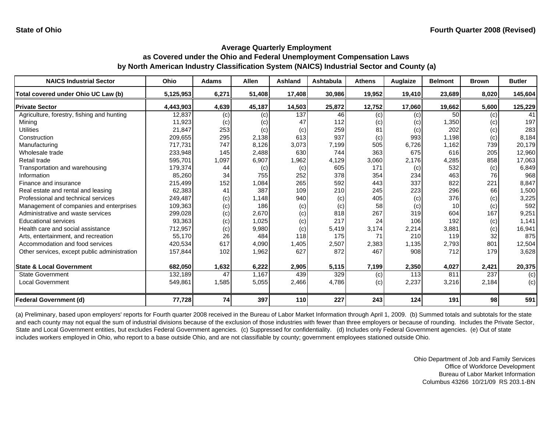| <b>NAICS Industrial Sector</b>               | <b>Ohio</b> | <b>Adams</b> | Allen  | Ashland    | Ashtabula | <b>Athens</b> | Auglaize | <b>Belmont</b>  | <b>Brown</b> | <b>Butler</b> |
|----------------------------------------------|-------------|--------------|--------|------------|-----------|---------------|----------|-----------------|--------------|---------------|
| Total covered under Ohio UC Law (b)          | 5,125,953   | 6,271        | 51,408 | 17,408     | 30,986    | 19,952        | 19,410   | 23,689          | 8,020        | 145,604       |
| <b>Private Sector</b>                        | 4,443,903   | 4,639        | 45,187 | 14,503     | 25,872    | 12,752        | 17,060   | 19,662          | 5,600        | 125,229       |
| Agriculture, forestry, fishing and hunting   | 12,837      | (c)          | (c)    | 137        | 46        | (c)           | (c)      | 50 <sup>1</sup> | (c)          | 41            |
| Mining                                       | 11,923      | (c)          | (c)    | 47         | 112       | (c)           | (c)      | 1,350           | (c)          | 197           |
| <b>Utilities</b>                             | 21,847      | 253          | (c)    | (c)        | 259       | 81            | (c)      | 202             | (c)          | 283           |
| Construction                                 | 209,655     | 295          | 2,138  | 613        | 937       | (c)           | 993      | 1,198           | (c)          | 8,184         |
| Manufacturing                                | 717,731     | 747          | 8,126  | 3,073      | 7,199     | 505           | 6,726    | 1,162           | 739          | 20,179        |
| Wholesale trade                              | 233,948     | 145          | 2,488  | 630        | 744       | 363           | 675      | 616             | 205          | 12,960        |
| Retail trade                                 | 595,701     | 1,097        | 6,907  | 1,962      | 4,129     | 3,060         | 2,176    | 4,285           | 858          | 17,063        |
| Transportation and warehousing               | 179,374     | 44           | (c)    | (c)        | 605       | 171           | (c)      | 532             | (c)          | 6,849         |
| Information                                  | 85,260      | 34           | 755    | 252        | 378       | 354           | 234      | 463             | 76           | 968           |
| Finance and insurance                        | 215,499     | 152          | 1,084  | 265        | 592       | 443           | 337      | 822             | 221          | 8,847         |
| Real estate and rental and leasing           | 62,383      | 41           | 387    | 109        | 210       | 245           | 223      | 296             | 66           | 1,500         |
| Professional and technical services          | 249,487     | (c)          | 1,148  | 940        | (c)       | 405           | (c)      | 376             | (c)          | 3,225         |
| Management of companies and enterprises      | 109,363     | (c)          | 186    | (c)        | (c)       | 58            | (c)      | 10              | (c)          | 592           |
| Administrative and waste services            | 299,028     | (c)          | 2,670  | (c)        | 818       | 267           | 319      | 604             | 167          | 9,251         |
| <b>Educational services</b>                  | 93,363      | (c)          | 1,025  | (c)        | 217       | 24            | 106      | 192             | (c)          | 1,141         |
| Health care and social assistance            | 712,957     | (c)          | 9,980  | (c)        | 5,419     | 3,174         | 2,214    | 3,881           | (c)          | 16,941        |
| Arts, entertainment, and recreation          | 55,170      | 26           | 484    | 118        | 175       | 71            | 210      | 119             | 32           | 875           |
| Accommodation and food services              | 420,534     | 617          | 4,090  | 1,405      | 2,507     | 2,383         | 1,135    | 2,793           | 801          | 12,504        |
| Other services, except public administration | 157,844     | 102          | 1,962  | 627        | 872       | 467           | 908      | 712             | 179          | 3,628         |
| <b>State &amp; Local Government</b>          | 682,050     | 1,632        | 6,222  | 2,905      | 5,115     | 7,199         | 2,350    | 4,027           | 2,421        | 20,375        |
| <b>State Government</b>                      | 132,189     | 47           | 1,167  | 439        | 329       | (c)           | 113      | 811             | 237          | (c)           |
| <b>Local Government</b>                      | 549,861     | 1,585        | 5,055  | 2,466      | 4,786     | (c)           | 2,237    | 3,216           | 2,184        | (c)           |
| <b>Federal Government (d)</b>                | 77,728      | 74           | 397    | <b>110</b> | 227       | 243           | 124      | 191             | 98           | 591           |

(a) Preliminary, based upon employers' reports for Fourth quarter 2008 received in the Bureau of Labor Market Information through April 1, 2009. (b) Summed totals and subtotals for the state and each county may not equal the sum of industrial divisions because of the exclusion of those industries with fewer than three employers or because of rounding. Includes the Private Sector, State and Local Government entities, but excludes Federal Government agencies. (c) Suppressed for confidentiality. (d) Includes only Federal Government agencies. (e) Out of state includes workers employed in Ohio, who report to a base outside Ohio, and are not classifiable by county; government employees stationed outside Ohio.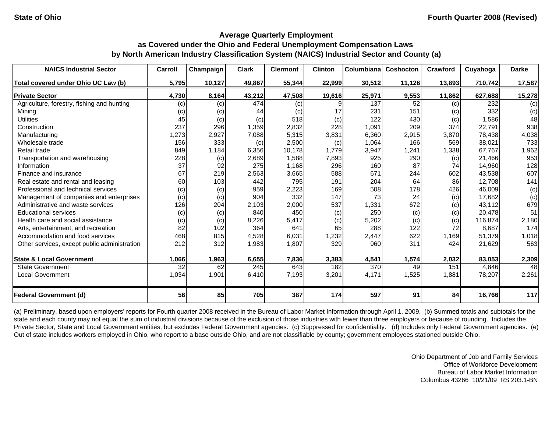| <b>NAICS Industrial Sector</b>               | Carroll         | Champaign | <b>Clark</b> | <b>Clermont</b> | <b>Clinton</b> | Columbiana | Coshocton | Crawford | Cuyahoga | <b>Darke</b> |
|----------------------------------------------|-----------------|-----------|--------------|-----------------|----------------|------------|-----------|----------|----------|--------------|
| Total covered under Ohio UC Law (b)          | 5,795           | 10,127    | 49,867       | 55,344          | 22,999         | 30,512     | 11,126    | 13,893   | 710,742  | 17,587       |
| <b>Private Sector</b>                        | 4,730           | 8,164     | 43,212       | 47,508          | 19,616         | 25,971     | 9,553     | 11,862   | 627,688  | 15,278       |
| Agriculture, forestry, fishing and hunting   | (c)             | (c)       | 474          | (c)             | 9              | 137        | 52        | (c)      | 232      | (c)          |
| Mining                                       | (c)             | (c)       | 44           | (c)             | 17             | 231        | 151       | (c)      | 332      | (c)          |
| <b>Utilities</b>                             | 45              | (c)       | (c)          | 518             | (c)            | 122        | 430       | (c)      | 1,586    | 48           |
| Construction                                 | 237             | 296       | 1,359        | 2,832           | 228            | 1,091      | 209       | 374      | 22,791   | 938          |
| Manufacturing                                | 1,273           | 2,927     | 7,088        | 5,315           | 3,831          | 6,360      | 2,915     | 3,870    | 78,438   | 4,038        |
| Wholesale trade                              | 156             | 333       | (c)          | 2,500           | (c)            | 1,064      | 166       | 569      | 38,021   | 733          |
| Retail trade                                 | 849             | 1,184     | 6,356        | 10,178          | 1,779          | 3,947      | ,241      | 1,338    | 67,767   | 1,962        |
| Transportation and warehousing               | 228             | (c)       | 2,689        | 1,588           | 7,893          | 925        | 290       | (c)      | 21,466   | 953          |
| Information                                  | 37              | 92        | 275          | 1,168           | 296            | 160        | 87        | 74       | 14,960   | 128          |
| Finance and insurance                        | 67              | 219       | 2,563        | 3,665           | 588            | 671        | 244       | 602      | 43,538   | 607          |
| Real estate and rental and leasing           | 60              | 103       | 442          | 795             | 191            | 204        | 64        | 86       | 12,708   | 141          |
| Professional and technical services          | (c)             | (c)       | 959          | 2,223           | 169            | 508        | 178       | 426      | 46,009   | (c)          |
| Management of companies and enterprises      | (c)             | (c)       | 904          | 332             | 147            | 73         | 24        | (c)      | 17.682   | (c)          |
| Administrative and waste services            | 126             | 204       | 2,103        | 2,000           | 537            | 1,331      | 672       | (c)      | 43,112   | 679          |
| <b>Educational services</b>                  | (c)             | (c)       | 840          | 450             | (c)            | 250        | (c)       | (c)      | 20,478   | 51           |
| Health care and social assistance            | (c)             | (c)       | 8,226        | 5,417           | (c)            | 5,202      | (c)       | (c)      | 116,874  | 2,180        |
| Arts, entertainment, and recreation          | 82              | 102       | 364          | 641             | 65             | 288        | 122       | 72       | 8,687    | 174          |
| Accommodation and food services              | 468             | 815       | 4,528        | 6,031           | 1,232          | 2,447      | 622       | 1,169    | 51,379   | 1,018        |
| Other services, except public administration | 212             | 312       | 1,983        | 1,807           | 329            | 960        | 311       | 424      | 21,629   | 563          |
| <b>State &amp; Local Government</b>          | 1,066           | 1,963     | 6,655        | 7,836           | 3,383          | 4,541      | 1,574     | 2,032    | 83,053   | 2,309        |
| <b>State Government</b>                      | $\overline{32}$ | 62        | 245          | 643             | 182            | 370        | 49        | 151      | 4,846    | 48           |
| <b>Local Government</b>                      | 1,034           | 1,901     | 6,410        | 7,193           | 3,201          | 4,171      | 1,525     | 1,881    | 78,207   | 2,261        |
| <b>Federal Government (d)</b>                | 56              | 85        | 705          | 387             | 174            | 597        | 91        | 84       | 16,766   | 117          |

(a) Preliminary, based upon employers' reports for Fourth quarter 2008 received in the Bureau of Labor Market Information through April 1, 2009. (b) Summed totals and subtotals for the state and each county may not equal the sum of industrial divisions because of the exclusion of those industries with fewer than three employers or because of rounding. Includes the Private Sector, State and Local Government entities, but excludes Federal Government agencies. (c) Suppressed for confidentiality. (d) Includes only Federal Government agencies. (e) Out of state includes workers employed in Ohio, who report to a base outside Ohio, and are not classifiable by county; government employees stationed outside Ohio.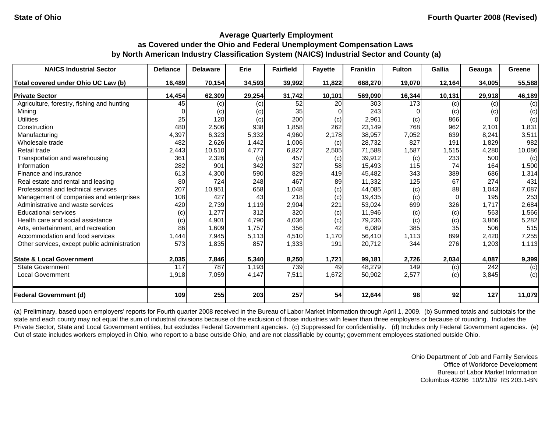| <b>NAICS Industrial Sector</b>               | <b>Defiance</b> | <b>Delaware</b> | Erie   | <b>Fairfield</b> | <b>Fayette</b> | <b>Franklin</b> | <b>Fulton</b> | <b>Gallia</b> | Geauga | Greene |
|----------------------------------------------|-----------------|-----------------|--------|------------------|----------------|-----------------|---------------|---------------|--------|--------|
| Total covered under Ohio UC Law (b)          | 16,489          | 70,154          | 34,593 | 39,992           | 11,822         | 668,270         | 19,070        | 12,164        | 34,005 | 55,588 |
| <b>Private Sector</b>                        | 14,454          | 62,309          | 29,254 | 31,742           | 10,101         | 569,090         | 16,344        | 10,131        | 29,918 | 46,189 |
| Agriculture, forestry, fishing and hunting   | 45              | (c)             | (c)    | 52               | 20             | 303             | 173           | (c)           | (c)    | (c)    |
| Minina                                       |                 | (c)             | (c)    | 35               |                | 243             |               | (c)           | (c)    | (c)    |
| <b>Utilities</b>                             | 25              | 120             | (c)    | 200              | (c)            | 2,961           | (c)           | 866           |        | (c)    |
| Construction                                 | 480             | 2,506           | 938    | 1,858            | 262            | 23,149          | 768           | 962           | 2,101  | 1,831  |
| Manufacturing                                | 4,397           | 6,323           | 5,332  | 4,960            | 2,178          | 38,957          | 7,052         | 639           | 8,241  | 3,511  |
| Wholesale trade                              | 482             | 2,626           | 1,442  | 1,006            | (c)            | 28,732          | 827           | 191           | 1,829  | 982    |
| Retail trade                                 | 2,443           | 10,510          | 4,777  | 6,827            | 2,505          | 71,588          | 1,587         | 1,515         | 4,280  | 10,086 |
| Transportation and warehousing               | 361             | 2,326           | (c)    | 457              | (c)            | 39,912          | (c)           | 233           | 500    | (c)    |
| Information                                  | 282             | 901             | 342    | 327              | 58             | 15,493          | 115           | 74            | 164    | 1,500  |
| Finance and insurance                        | 613             | 4,300           | 590    | 829              | 419            | 45,482          | 343           | 389           | 686    | 1,314  |
| Real estate and rental and leasing           | 80              | 724             | 248    | 467              | 89             | 11,332          | 125           | 67            | 274    | 431    |
| Professional and technical services          | 207             | 10,951          | 658    | 1,048            | (c)            | 44,085          | (c)           | 88            | 1,043  | 7,087  |
| Management of companies and enterprises      | 108             | 427             | 43     | 218              | (c)            | 19,435          | (c)           | $\Omega$      | 195    | 253    |
| Administrative and waste services            | 420             | 2,739           | 1,119  | 2,904            | 221            | 53,024          | 699           | 326           | 1,717  | 2,684  |
| <b>Educational services</b>                  | (c)             | 1,277           | 312    | 320              | (c)            | 11,946          | (c)           | (c)           | 563    | 1,566  |
| Health care and social assistance            | (c)             | 4,901           | 4.790  | 4,036            | (c)            | 79,236          | (c)           | (c)           | 3,866  | 5,282  |
| Arts, entertainment, and recreation          | 86              | 1,609           | 1,757  | 356              | 42             | 6,089           | 385           | 35            | 506    | 515    |
| Accommodation and food services              | 1,444           | 7,945           | 5,113  | 4,510            | 1,170          | 56,410          | 1,113         | 899           | 2,420  | 7,255  |
| Other services, except public administration | 573             | 1,835           | 857    | 1,333            | 191            | 20,712          | 344           | 276           | 1,203  | 1,113  |
| <b>State &amp; Local Government</b>          | 2,035           | 7,846           | 5,340  | 8,250            | 1,721          | 99,181          | 2,726         | 2,034         | 4,087  | 9,399  |
| <b>State Government</b>                      | 117             | 787             | 1,193  | 739              | 49             | 48,279          | 149           | (c)           | 242    | (c)    |
| Local Government                             | 1,918           | 7,059           | 4,147  | 7,511            | 1,672          | 50,902          | 2,577         | (c)           | 3,845  | (c)    |
| <b>Federal Government (d)</b>                | 109             | 255             | 203    | 257              | 54             | 12,644          | 98            | 92            | 127    | 11,079 |

(a) Preliminary, based upon employers' reports for Fourth quarter 2008 received in the Bureau of Labor Market Information through April 1, 2009. (b) Summed totals and subtotals for the state and each county may not equal the sum of industrial divisions because of the exclusion of those industries with fewer than three employers or because of rounding. Includes the Private Sector, State and Local Government entities, but excludes Federal Government agencies. (c) Suppressed for confidentiality. (d) Includes only Federal Government agencies. (e) Out of state includes workers employed in Ohio, who report to a base outside Ohio, and are not classifiable by county; government employees stationed outside Ohio.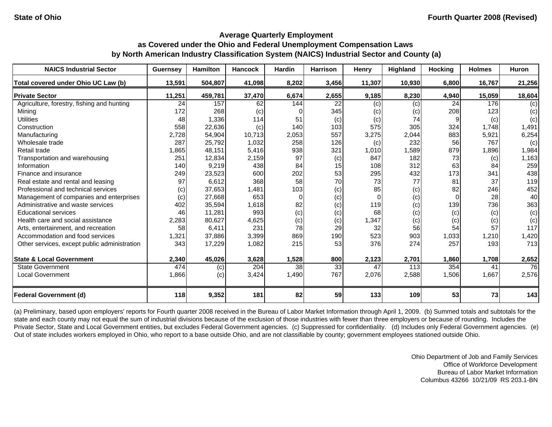| <b>NAICS Industrial Sector</b>               | <b>Guernsey</b> | <b>Hamilton</b> | <b>Hancock</b> | <b>Hardin</b> | <b>Harrison</b> | Henry    | Highland | <b>Hocking</b> | <b>Holmes</b> | <b>Huron</b> |
|----------------------------------------------|-----------------|-----------------|----------------|---------------|-----------------|----------|----------|----------------|---------------|--------------|
| Total covered under Ohio UC Law (b)          | 13,591          | 504,807         | 41,098         | 8,202         | 3,456           | 11,307   | 10,930   | 6,800          | 16,767        | 21,256       |
| <b>Private Sector</b>                        | 11,251          | 459,781         | 37,470         | 6,674         | 2,655           | 9,185    | 8,230    | 4,940          | 15,059        | 18,604       |
| Agriculture, forestry, fishing and hunting   | 24              | 157             | 62             | 144           | 22              | (c)      | (c)      | 24             | 176           | (c)          |
| Mining                                       | 172             | 268             | (c)            | 0             | 345             | (c)      | (c)      | 208            | 123           | (c)          |
| <b>Utilities</b>                             | 48              | 1,336           | 114            | 51            | (c)             | (c)      | 74       | 9              | (c)           | (c)          |
| Construction                                 | 558             | 22,636          | (c)            | 140           | 103             | 575      | 305      | 324            | 1,748         | 1,491        |
| Manufacturing                                | 2,728           | 54,904          | 10,713         | 2,053         | 557             | 3,275    | 2,044    | 883            | 5,921         | 6,254        |
| Wholesale trade                              | 287             | 25,792          | 1,032          | 258           | 126             | (c)      | 232      | 56             | 767           | (c)          |
| Retail trade                                 | 1,865           | 48,151          | 5,416          | 938           | 321             | 1,010    | 1,589    | 879            | 1,896         | 1,984        |
| Transportation and warehousing               | 251             | 12,834          | 2,159          | 97            | (c)             | 847      | 182      | 73             | (c)           | 1,163        |
| Information                                  | 140             | 9,219           | 438            | 84            | 15              | 108      | 312      | 63             | 84            | 259          |
| Finance and insurance                        | 249             | 23,523          | 600            | 202           | 53              | 295      | 432      | 173            | 341           | 438          |
| Real estate and rental and leasing           | 97              | 6,612           | 368            | 58            | 70              | 73       | 77       | 81             | 37            | 119          |
| Professional and technical services          | (c)             | 37,653          | 1,481          | 103           | (c)             | 85       | (c)      | 82             | 246           | 452          |
| Management of companies and enterprises      | (c)             | 27,668          | 653            | $\Omega$      | (c)             | $\Omega$ | (c)      | $\Omega$       | 28            | 40           |
| Administrative and waste services            | 402             | 35,594          | 1,618          | 82            | (c)             | 119      | (c)      | 139            | 736           | 363          |
| <b>Educational services</b>                  | 46              | 11,281          | 993            | (c)           | (c)             | 68       | (c)      | (c)            | (c)           | (c)          |
| Health care and social assistance            | 2,283           | 80,627          | 4,625          | (c)           | (c)             | 1,347    | (c)      | (c)            | (c)           | (c)          |
| Arts, entertainment, and recreation          | 58              | 6,411           | 231            | 78            | 29              | 32       | 56       | 54             | 57            | 117          |
| Accommodation and food services              | 1,321           | 37,886          | 3,399          | 869           | 190             | 523      | 903      | 1,033          | 1,210         | 1,420        |
| Other services, except public administration | 343             | 17,229          | 1,082          | 215           | 53              | 376      | 274      | 257            | 193           | 713          |
| <b>State &amp; Local Government</b>          | 2,340           | 45,026          | 3,628          | 1,528         | 800             | 2,123    | 2,701    | 1,860          | 1,708         | 2,652        |
| <b>State Government</b>                      | 474             | (c)             | 204            | 38            | 33              | 47       | 113      | 354            | 41            | 76           |
| <b>Local Government</b>                      | 1,866           | (c)             | 3,424          | 1,490         | 767             | 2,076    | 2,588    | 1,506          | 1,667         | 2,576        |
| <b>Federal Government (d)</b>                | 118             | 9,352           | 181            | 82            | 59              | 133      | 109      | 53             | 73            | 143          |

(a) Preliminary, based upon employers' reports for Fourth quarter 2008 received in the Bureau of Labor Market Information through April 1, 2009. (b) Summed totals and subtotals for the state and each county may not equal the sum of industrial divisions because of the exclusion of those industries with fewer than three employers or because of rounding. Includes the Private Sector, State and Local Government entities, but excludes Federal Government agencies. (c) Suppressed for confidentiality. (d) Includes only Federal Government agencies. (e) Out of state includes workers employed in Ohio, who report to a base outside Ohio, and are not classifiable by county; government employees stationed outside Ohio.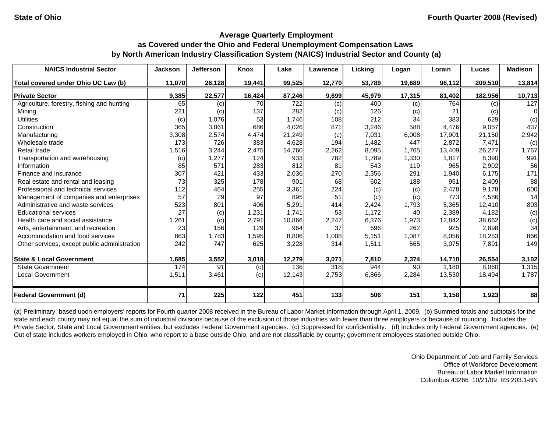| <b>NAICS Industrial Sector</b>               | <b>Jackson</b> | <b>Jefferson</b> | Knox   | Lake   | Lawrence | Licking | Logan  | Lorain | Lucas   | <b>Madison</b> |
|----------------------------------------------|----------------|------------------|--------|--------|----------|---------|--------|--------|---------|----------------|
| Total covered under Ohio UC Law (b)          | 11,070         | 26,128           | 19,441 | 99,525 | 12,770   | 53,789  | 19,689 | 96,112 | 209,510 | 13,814         |
| <b>Private Sector</b>                        | 9,385          | 22,577           | 16,424 | 87,246 | 9,699    | 45,979  | 17,315 | 81,402 | 182,956 | 10,713         |
| Agriculture, forestry, fishing and hunting   | 65             | (c)              | 70     | 722    | (c)      | 400     | (c)    | 764    | (c)     | 127            |
| Mining                                       | 221            | (c)              | 137    | 282    | (c)      | 126     | (c)    | 21     | (c)     | $\Omega$       |
| <b>Utilities</b>                             | (c)            | 1,076            | 53     | 1,746  | 108      | 212     | 34     | 383    | 629     | (c)            |
| Construction                                 | 365            | 3,061            | 686    | 4,026  | 871      | 3,246   | 588    | 4,476  | 9,057   | 437            |
| Manufacturing                                | 3,308          | 2,574            | 4,474  | 21,249 | (c)      | 7,031   | 6,008  | 17,901 | 21,150  | 2,942          |
| Wholesale trade                              | 173            | 726              | 383    | 4,628  | 194      | 1,482   | 447    | 2,872  | 7,471   | (c)            |
| Retail trade                                 | 1,516          | 3,244            | 2,475  | 14,760 | 2,262    | 8,095   | 1,765  | 13,409 | 26,277  | 1,767          |
| Transportation and warehousing               | (c)            | 1,277            | 124    | 933    | 782      | 1,789   | 1,330  | 1,817  | 8,390   | 991            |
| Information                                  | 85             | 571              | 283    | 812    | 81       | 543     | 119    | 965    | 2,902   | 56             |
| Finance and insurance                        | 307            | 421              | 433    | 2,036  | 270      | 2,356   | 291    | 1,940  | 6,175   | 171            |
| Real estate and rental and leasing           | 73             | 325              | 178    | 901    | 68       | 602     | 188    | 951    | 2,409   | 88             |
| Professional and technical services          | 112            | 464              | 255    | 3,361  | 224      | (c)     | (c)    | 2,478  | 9,178   | 600            |
| Management of companies and enterprises      | 57             | 29               | 97     | 895    | 51       | (c)     | (c)    | 773    | 4,586   | 14             |
| Administrative and waste services            | 523            | 801              | 406    | 5,291  | 414      | 2,424   | 1,793  | 5,365  | 12,410  | 803            |
| <b>Educational services</b>                  | 27             | (c)              | 1,231  | 1,741  | 53       | 1,172   | 40     | 2,389  | 4,182   | (c)            |
| Health care and social assistance            | 1,261          | (c)              | 2.791  | 10,866 | 2,247    | 6,376   | 1,973  | 12,842 | 38,662  | (c)            |
| Arts, entertainment, and recreation          | 23             | 156              | 129    | 964    | 37       | 696     | 262    | 925    | 2,898   | 34             |
| Accommodation and food services              | 863            | 1,783            | 1,595  | 8,806  | 1,008    | 5,151   | 1,087  | 8,056  | 18,283  | 866            |
| Other services, except public administration | 242            | 747              | 625    | 3,228  | 314      | 1,511   | 565    | 3,075  | 7,891   | 149            |
| <b>State &amp; Local Government</b>          | 1,685          | 3,552            | 3,018  | 12,279 | 3,071    | 7,810   | 2,374  | 14,710 | 26,554  | 3,102          |
| <b>State Government</b>                      | 174            | 91               | (c)    | 136    | 318      | 944     | 90     | 1,180  | 8,060   | 1,315          |
| <b>Local Government</b>                      | 1,511          | 3,461            | (c)    | 12,143 | 2,753    | 6,866   | 2,284  | 13,530 | 18,494  | 1,787          |
| <b>Federal Government (d)</b>                | 71             | 225              | 122    | 451    | 133      | 506     | 151    | 1,158  | 1,923   | 88             |

(a) Preliminary, based upon employers' reports for Fourth quarter 2008 received in the Bureau of Labor Market Information through April 1, 2009. (b) Summed totals and subtotals for the state and each county may not equal the sum of industrial divisions because of the exclusion of those industries with fewer than three employers or because of rounding. Includes the Private Sector, State and Local Government entities, but excludes Federal Government agencies. (c) Suppressed for confidentiality. (d) Includes only Federal Government agencies. (e) Out of state includes workers employed in Ohio, who report to a base outside Ohio, and are not classifiable by county; government employees stationed outside Ohio.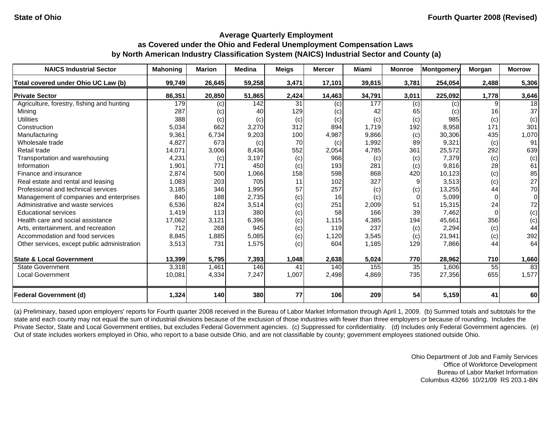| <b>NAICS Industrial Sector</b>               | <b>Mahoning</b> | <b>Marion</b> | <b>Medina</b> | <b>Meigs</b> | <b>Mercer</b> | Miami  | <b>Monroe</b> | <b>Montgomery</b> | Morgan | <b>Morrow</b> |
|----------------------------------------------|-----------------|---------------|---------------|--------------|---------------|--------|---------------|-------------------|--------|---------------|
| Total covered under Ohio UC Law (b)          | 99,749          | 26,645        | 59,258        | 3,471        | 17,101        | 39,815 | 3,781         | 254,054           | 2,488  | 5,306         |
| <b>Private Sector</b>                        | 86,351          | 20,850        | 51,865        | 2,424        | 14,463        | 34,791 | 3,011         | 225,092           | 1,778  | 3,646         |
| Agriculture, forestry, fishing and hunting   | 179             | (c)           | 142           | 31           | (c)           | 177    | (c)           | (c)               |        | 18            |
| Mining                                       | 287             | (c)           | 40            | 129          | (c)           | 42     | 65            | (c)               | 16     | 37            |
| <b>Utilities</b>                             | 388             | (c)           | (c)           | (c)          | (c)           | (c)    | (c)           | 985               | (c)    | (c)           |
| Construction                                 | 5,034           | 662           | 3,270         | 312          | 894           | 1,719  | 192           | 8,958             | 171    | 301           |
| Manufacturing                                | 9,361           | 6,734         | 9,203         | 100          | 4,987         | 9,866  | (c)           | 30,306            | 435    | 1,070         |
| Wholesale trade                              | 4,827           | 673           | (c)           | 70           | (c)           | 1,992  | 89            | 9,321             | (c)    | 91            |
| Retail trade                                 | 14,071          | 3,006         | 8,436         | 552          | 2,054         | 4,785  | 361           | 25,572            | 292    | 639           |
| Transportation and warehousing               | 4,231           | (c)           | 3,197         | (c)          | 966           | (c)    | (c)           | 7,379             | (c)    | (c)           |
| Information                                  | 1,901           | 771           | 450           | (c)          | 193           | 281    | (c)           | 9,816             | 28     | 61            |
| Finance and insurance                        | 2,874           | 500           | 1,066         | 158          | 598           | 868    | 420           | 10,123            | (c)    | 85            |
| Real estate and rental and leasing           | 1,083           | 203           | 705           | 11           | 102           | 327    | 9             | 3,513             | (c)    | 27            |
| Professional and technical services          | 3,185           | 346           | 1,995         | 57           | 257           | (c)    | (c)           | 13,255            | 44     | 70            |
| Management of companies and enterprises      | 840             | 188           | 2,735         | (c)          | 16            | (c)    | $\Omega$      | 5,099             |        | $\Omega$      |
| Administrative and waste services            | 6,536           | 824           | 3,514         | (c)          | 251           | 2,009  | 51            | 15,315            | 24     | 72            |
| <b>Educational services</b>                  | 1,419           | 113           | 380           | (c)          | 58            | 166    | 39            | 7,462             |        | (c)           |
| Health care and social assistance            | 17,062          | 3,121         | 6,396         | (c)          | 1,115         | 4,385  | 194           | 45,661            | 356    | (c)           |
| Arts, entertainment, and recreation          | 712             | 268           | 945           | (c)          | 119           | 237    | (c)           | 2,294             | (c)    | 44            |
| Accommodation and food services              | 8,845           | 1,885         | 5,085         | (c)          | 1,120         | 3,545  | (c)           | 21,941            | (c)    | 392           |
| Other services, except public administration | 3,513           | 731           | 1,575         | (c)          | 604           | 1,185  | 129           | 7,866             | 44     | 64            |
| <b>State &amp; Local Government</b>          | 13,399          | 5,795         | 7,393         | 1,048        | 2,638         | 5,024  | 770           | 28,962            | 710    | 1,660         |
| <b>State Government</b>                      | 3,318           | 1,461         | 146           | 41           | 140           | 155    | 35            | 1,606             | 55     | 83            |
| <b>Local Government</b>                      | 10,081          | 4,334         | 7,247         | 1,007        | 2,498         | 4,869  | 735           | 27,356            | 655    | 1,577         |
| <b>Federal Government (d)</b>                | 1,324           | 140           | 380           | 77           | 106           | 209    | 54            | 5,159             | 41     | 60            |

(a) Preliminary, based upon employers' reports for Fourth quarter 2008 received in the Bureau of Labor Market Information through April 1, 2009. (b) Summed totals and subtotals for the state and each county may not equal the sum of industrial divisions because of the exclusion of those industries with fewer than three employers or because of rounding. Includes the Private Sector, State and Local Government entities, but excludes Federal Government agencies. (c) Suppressed for confidentiality. (d) Includes only Federal Government agencies. (e) Out of state includes workers employed in Ohio, who report to a base outside Ohio, and are not classifiable by county; government employees stationed outside Ohio.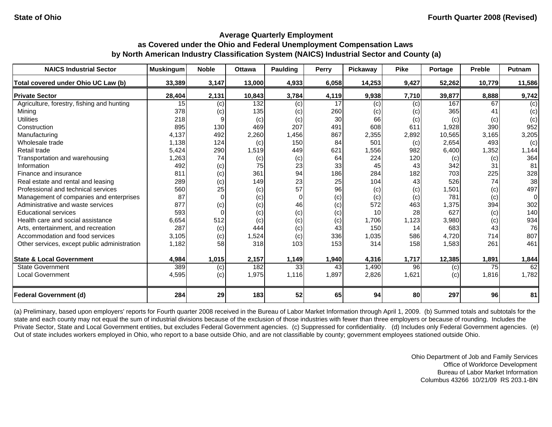| <b>NAICS Industrial Sector</b>               | <b>Muskingum</b> | <b>Noble</b> | <b>Ottawa</b> | Paulding | <b>Perry</b> | Pickaway | <b>Pike</b> | Portage | <b>Preble</b> | <b>Putnam</b> |
|----------------------------------------------|------------------|--------------|---------------|----------|--------------|----------|-------------|---------|---------------|---------------|
| Total covered under Ohio UC Law (b)          | 33,389           | 3,147        | 13,000        | 4,933    | 6,058        | 14,253   | 9,427       | 52,262  | 10,779        | 11,586        |
| <b>Private Sector</b>                        | 28,404           | 2,131        | 10,843        | 3,784    | 4,119        | 9,938    | 7,710       | 39,877  | 8,888         | 9,742         |
| Agriculture, forestry, fishing and hunting   | 15 <sup>1</sup>  | (c)          | 132           | (c)      | 17           | (c)      | (c)         | 167     | 67            | (c)           |
| Mining                                       | 378              | (c)          | 135           | (c)      | 260          | (c)      | (C)         | 365     | 41            | (c)           |
| <b>Utilities</b>                             | 218              |              | (c)           | (c)      | 30           | 66       | (c)         | (c)     | (c)           | (c)           |
| Construction                                 | 895              | 130          | 469           | 207      | 491          | 608      | 611         | 1,928   | 390           | 952           |
| Manufacturing                                | 4,137            | 492          | 2,260         | 1,456    | 867          | 2,355    | 2,892       | 10,565  | 3,165         | 3,205         |
| Wholesale trade                              | 1,138            | 124          | (c)           | 150      | 84           | 501      | (c)         | 2,654   | 493           | (c)           |
| Retail trade                                 | 5,424            | 290          | 1,519         | 449      | 621          | 1,556    | 982         | 6,400   | 1,352         | 1,144         |
| Transportation and warehousing               | 1,263            | 74           | (c)           | (c)      | 64           | 224      | 120         | (c)     | (c)           | 364           |
| Information                                  | 492              | (c)          | 75            | 23       | 33           | 45       | 43          | 342     | 31            | 81            |
| Finance and insurance                        | 811              | (c)          | 361           | 94       | 186          | 284      | 182         | 703     | 225           | 328           |
| Real estate and rental and leasing           | 289              | (c)          | 149           | 23       | 25           | 104      | 43          | 526     | 74            | 38            |
| Professional and technical services          | 560              | 25           | (c)           | 57       | 96           | (c)      | (c)         | 1,501   | (c)           | 497           |
| Management of companies and enterprises      | 87               |              | (c)           | 0        | (c)          | (c)      | (c)         | 781     | (c)           | 0             |
| Administrative and waste services            | 877              | (c)          | (c)           | 46       | (c)          | 572      | 463         | 1,375   | 394           | 302           |
| <b>Educational services</b>                  | 593              |              | (c)           | (c)      | (c)          | 10       | 28          | 627     | (c)           | 140           |
| Health care and social assistance            | 6,654            | 512          | (c)           | (c)      | (c)          | 1,706    | 1,123       | 3,980   | (c)           | 934           |
| Arts, entertainment, and recreation          | 287              | (c)          | 444           | (c)      | 43           | 150      | 14          | 683     | 43            | 76            |
| Accommodation and food services              | 3,105            | (c)          | 1,524         | (c)      | 336          | 1,035    | 586         | 4,720   | 714           | 807           |
| Other services, except public administration | 1,182            | 58           | 318           | 103      | 153          | 314      | 158         | 1,583   | 261           | 461           |
| <b>State &amp; Local Government</b>          | 4,984            | 1,015        | 2,157         | 1,149    | 1,940        | 4,316    | 1,717       | 12,385  | 1,891         | 1,844         |
| <b>State Government</b>                      | 389              | (c)          | 182           | 33       | 43           | 1,490    | 96          | (c)     | 75            | 62            |
| <b>Local Government</b>                      | 4,595            | (c)          | 1,975         | 1,116    | 1,897        | 2,826    | 1,621       | (c)     | 1,816         | 1,782         |
| <b>Federal Government (d)</b>                | 284              | 29           | 183           | 52       | 65           | 94       | 80          | 297     | 96            | 81            |

(a) Preliminary, based upon employers' reports for Fourth quarter 2008 received in the Bureau of Labor Market Information through April 1, 2009. (b) Summed totals and subtotals for the state and each county may not equal the sum of industrial divisions because of the exclusion of those industries with fewer than three employers or because of rounding. Includes the Private Sector, State and Local Government entities, but excludes Federal Government agencies. (c) Suppressed for confidentiality. (d) Includes only Federal Government agencies. (e) Out of state includes workers employed in Ohio, who report to a base outside Ohio, and are not classifiable by county; government employees stationed outside Ohio.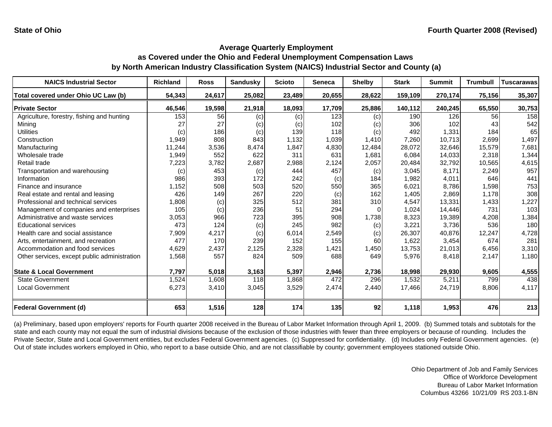| <b>NAICS Industrial Sector</b>               | <b>Richland</b> | <b>Ross</b> | <b>Sandusky</b> | <b>Scioto</b> | Seneca | <b>Shelby</b>     | <b>Stark</b> | <b>Summit</b> | <b>Trumbull</b> | <b>Tuscarawas</b> |
|----------------------------------------------|-----------------|-------------|-----------------|---------------|--------|-------------------|--------------|---------------|-----------------|-------------------|
| Total covered under Ohio UC Law (b)          | 54,343          | 24,617      | 25,082          | 23,489        | 20,655 | 28,622            | 159,109      | 270,174       | 75,156          | 35,307            |
| <b>Private Sector</b>                        | 46,546          | 19,598      | 21,918          | 18,093        | 17,709 | 25,886            | 140,112      | 240,245       | 65,550          | 30,753            |
| Agriculture, forestry, fishing and hunting   | 153             | 56          | (c)             | (c)           | 123    | (c)               | 190          | 126           | 56              | 158               |
| Mining                                       | 27              | 27          | (c)             | (c)           | 102    | (c)               | 306          | 102           | 43              | 542               |
| <b>Utilities</b>                             | (c)             | 186         | (c)             | 139           | 118    | (c)               | 492          | 1,331         | 184             | 65                |
| Construction                                 | 1,949           | 808         | 843             | 1,132         | 1,039  | 1,410             | 7,260        | 10,713        | 2,699           | 1,497             |
| Manufacturing                                | 11,244          | 3,536       | 8,474           | 1,847         | 4,830  | 12,484            | 28,072       | 32,646        | 15,579          | 7,681             |
| Wholesale trade                              | 1,949           | 552         | 622             | 311           | 631    | 1,681             | 6,084        | 14,033        | 2,318           | 1,344             |
| Retail trade                                 | 7,223           | 3,782       | 2,687           | 2,988         | 2,124  | 2,057             | 20,484       | 32,792        | 10,565          | 4,615             |
| Transportation and warehousing               | (c)             | 453         | (c)             | 444           | 457    | $\left( c\right)$ | 3,045        | 8.171         | 2,249           | 957               |
| Information                                  | 986             | 393         | 172             | 242           | (c)    | 184               | 1,982        | 4,011         | 646             | 441               |
| Finance and insurance                        | 1,152           | 508         | 503             | 520           | 550    | 365               | 6,021        | 8,786         | 1,598           | 753               |
| Real estate and rental and leasing           | 426             | 149         | 267             | 220           | (c)    | 162               | 1,405        | 2,869         | 1,178           | 308               |
| Professional and technical services          | 1,808           | (c)         | 325             | 512           | 381    | 310               | 4,547        | 13,331        | 1,433           | 1,227             |
| Management of companies and enterprises      | 105             | (c)         | 236             | 51            | 294    |                   | 1,024        | 14,446        | 731             | 103               |
| Administrative and waste services            | 3,053           | 966         | 723             | 395           | 908    | 1,738             | 8,323        | 19,389        | 4,208           | 1,384             |
| <b>Educational services</b>                  | 473             | 124         | (c)             | 245           | 982    | (c)               | 3,221        | 3,736         | 536             | 180               |
| Health care and social assistance            | 7,909           | 4,217       | (c)             | 6,014         | 2,549  | (c)               | 26,307       | 40,876        | 12,247          | 4,728             |
| Arts, entertainment, and recreation          | 477             | 170         | 239             | 152           | 155    | 60                | 1,622        | 3,454         | 674             | 281               |
| Accommodation and food services              | 4,629           | 2,437       | 2,125           | 2,328         | 1,421  | 1,450             | 13,753       | 21,013        | 6,456           | 3,310             |
| Other services, except public administration | 1,568           | 557         | 824             | 509           | 688    | 649               | 5,976        | 8,418         | 2,147           | 1,180             |
| <b>State &amp; Local Government</b>          | 7,797           | 5,018       | 3,163           | 5,397         | 2,946  | 2,736             | 18,998       | 29,930        | 9,605           | 4,555             |
| <b>State Government</b>                      | 1,524           | 1,608       | 118             | 1,868         | 472    | 296               | 1,532        | 5,211         | 799             | 438               |
| Local Government                             | 6,273           | 3,410       | 3,045           | 3,529         | 2,474  | 2,440             | 17,466       | 24,719        | 8,806           | 4,117             |
| Federal Government (d)                       | 653             | 1,516       | 128             | 174           | 135    | 92                | 1,118        | 1,953         | 476             | 213               |

(a) Preliminary, based upon employers' reports for Fourth quarter 2008 received in the Bureau of Labor Market Information through April 1, 2009. (b) Summed totals and subtotals for the state and each county may not equal the sum of industrial divisions because of the exclusion of those industries with fewer than three employers or because of rounding. Includes the Private Sector, State and Local Government entities, but excludes Federal Government agencies. (c) Suppressed for confidentiality. (d) Includes only Federal Government agencies. (e) Out of state includes workers employed in Ohio, who report to a base outside Ohio, and are not classifiable by county; government employees stationed outside Ohio.